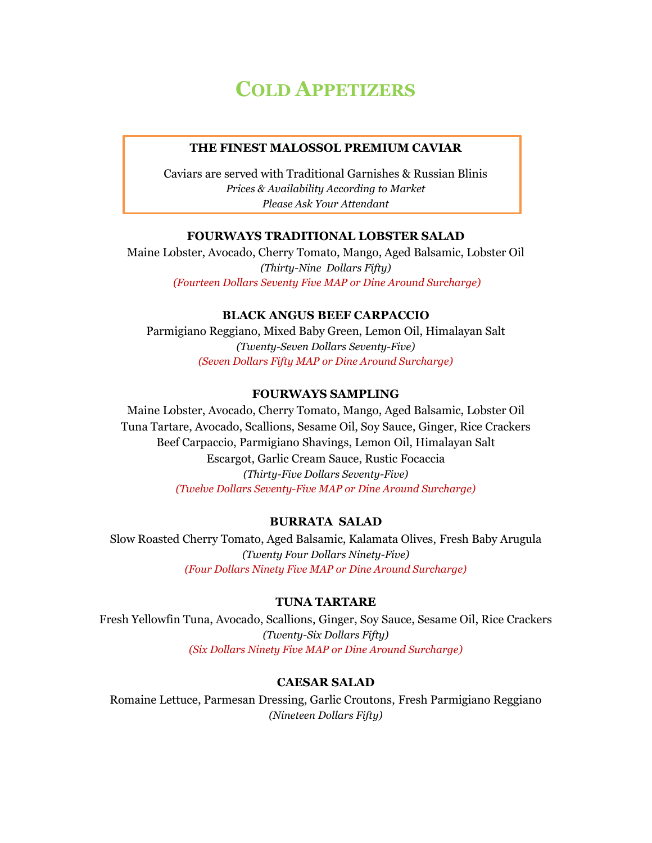# **COLD APPETIZERS**

#### **THE FINEST MALOSSOL PREMIUM CAVIAR**

Caviars are served with Traditional Garnishes & Russian Blinis *Prices & Availability According to Market Please Ask Your Attendant* 

## **FOURWAYS TRADITIONAL LOBSTER SALAD**

Maine Lobster, Avocado, Cherry Tomato, Mango, Aged Balsamic, Lobster Oil *(Thirty-Nine Dollars Fifty) (Fourteen Dollars Seventy Five MAP or Dine Around Surcharge)*

### **BLACK ANGUS BEEF CARPACCIO**

Parmigiano Reggiano, Mixed Baby Green, Lemon Oil, Himalayan Salt *(Twenty-Seven Dollars Seventy-Five) (Seven Dollars Fifty MAP or Dine Around Surcharge)*

## **FOURWAYS SAMPLING**

Maine Lobster, Avocado, Cherry Tomato, Mango, Aged Balsamic, Lobster Oil Tuna Tartare, Avocado, Scallions, Sesame Oil, Soy Sauce, Ginger, Rice Crackers Beef Carpaccio, Parmigiano Shavings, Lemon Oil, Himalayan Salt Escargot, Garlic Cream Sauce, Rustic Focaccia *(Thirty-Five Dollars Seventy-Five) (Twelve Dollars Seventy-Five MAP or Dine Around Surcharge)*

## **BURRATA SALAD**

Slow Roasted Cherry Tomato, Aged Balsamic, Kalamata Olives, Fresh Baby Arugula *(Twenty Four Dollars Ninety-Five) (Four Dollars Ninety Five MAP or Dine Around Surcharge)*

#### **TUNA TARTARE**

Fresh Yellowfin Tuna, Avocado, Scallions, Ginger, Soy Sauce, Sesame Oil, Rice Crackers *(Twenty-Six Dollars Fifty) (Six Dollars Ninety Five MAP or Dine Around Surcharge)*

## **CAESAR SALAD**

Romaine Lettuce, Parmesan Dressing, Garlic Croutons, Fresh Parmigiano Reggiano *(Nineteen Dollars Fifty)*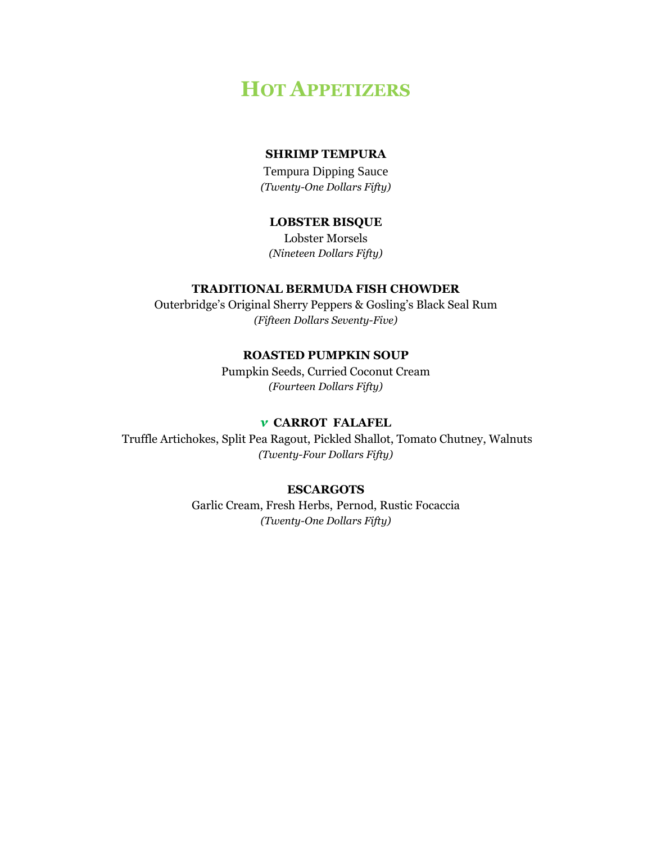## **HOT APPETIZERS**

## **SHRIMP TEMPURA**

Tempura Dipping Sauce *(Twenty-One Dollars Fifty)*

## **LOBSTER BISQUE**

Lobster Morsels *(Nineteen Dollars Fifty)*

## **TRADITIONAL BERMUDA FISH CHOWDER**

Outerbridge's Original Sherry Peppers & Gosling's Black Seal Rum *(Fifteen Dollars Seventy-Five)*

#### **ROASTED PUMPKIN SOUP**

Pumpkin Seeds, Curried Coconut Cream *(Fourteen Dollars Fifty)*

## *ν* **CARROT FALAFEL**

Truffle Artichokes, Split Pea Ragout, Pickled Shallot, Tomato Chutney, Walnuts *(Twenty-Four Dollars Fifty)*

#### **ESCARGOTS**

Garlic Cream, Fresh Herbs, Pernod, Rustic Focaccia *(Twenty-One Dollars Fifty)*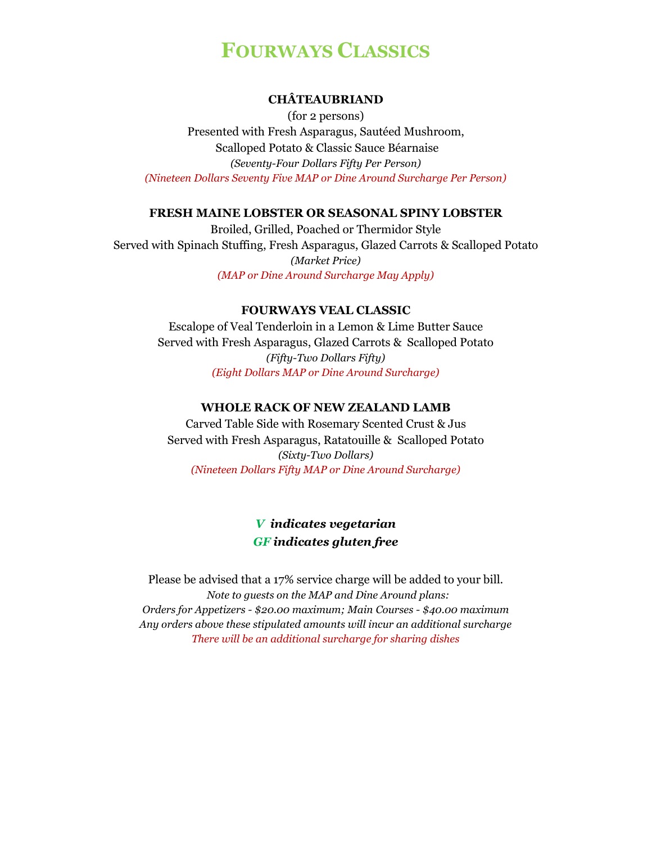# **FOURWAYS CLASSICS**

## **CHÂTEAUBRIAND**

(for 2 persons) Presented with Fresh Asparagus, Sautéed Mushroom, Scalloped Potato & Classic Sauce Béarnaise *(Seventy-Four Dollars Fifty Per Person) (Nineteen Dollars Seventy Five MAP or Dine Around Surcharge Per Person)*

#### **FRESH MAINE LOBSTER OR SEASONAL SPINY LOBSTER**

Broiled, Grilled, Poached or Thermidor Style Served with Spinach Stuffing, Fresh Asparagus, Glazed Carrots & Scalloped Potato *(Market Price) (MAP or Dine Around Surcharge May Apply)*

#### **FOURWAYS VEAL CLASSIC**

Escalope of Veal Tenderloin in a Lemon & Lime Butter Sauce Served with Fresh Asparagus, Glazed Carrots & Scalloped Potato *(Fifty-Two Dollars Fifty) (Eight Dollars MAP or Dine Around Surcharge)*

#### **WHOLE RACK OF NEW ZEALAND LAMB**

Carved Table Side with Rosemary Scented Crust & Jus Served with Fresh Asparagus, Ratatouille & Scalloped Potato *(Sixty-Two Dollars) (Nineteen Dollars Fifty MAP or Dine Around Surcharge)*

## *V indicates vegetarian GF indicates gluten free*

Please be advised that a 17% service charge will be added to your bill.  *Note to guests on the MAP and Dine Around plans: Orders for Appetizers - \$20.00 maximum; Main Courses - \$40.00 maximum Any orders above these stipulated amounts will incur an additional surcharge There will be an additional surcharge for sharing dishes*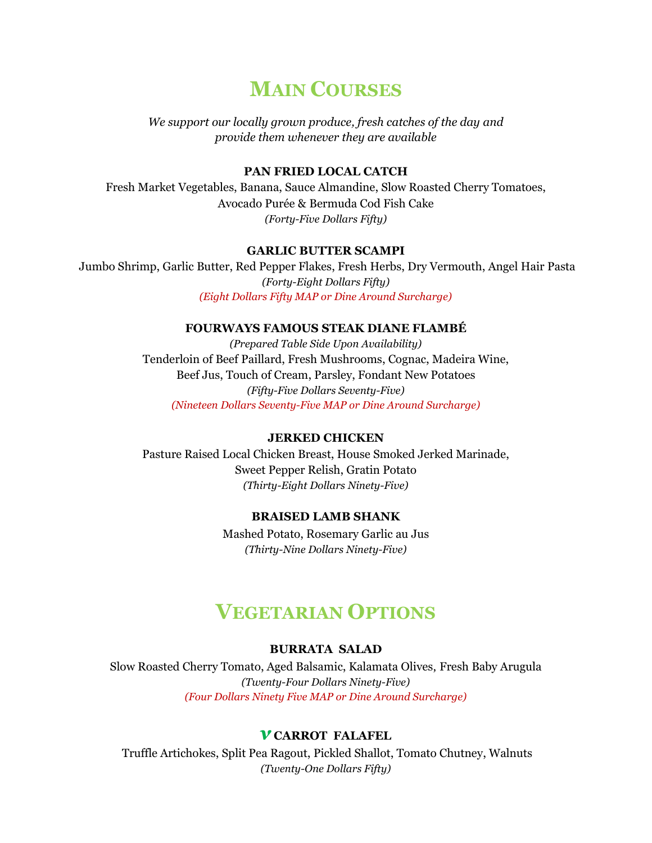## **MAIN COURSES**

*We support our locally grown produce, fresh catches of the day and provide them whenever they are available*

#### **PAN FRIED LOCAL CATCH**

Fresh Market Vegetables, Banana, Sauce Almandine, Slow Roasted Cherry Tomatoes, Avocado Purée & Bermuda Cod Fish Cake *(Forty-Five Dollars Fifty)*

#### **GARLIC BUTTER SCAMPI**

Jumbo Shrimp, Garlic Butter, Red Pepper Flakes, Fresh Herbs, Dry Vermouth, Angel Hair Pasta *(Forty-Eight Dollars Fifty) (Eight Dollars Fifty MAP or Dine Around Surcharge)*

## **FOURWAYS FAMOUS STEAK DIANE FLAMBÉ**

*(Prepared Table Side Upon Availability)* Tenderloin of Beef Paillard, Fresh Mushrooms, Cognac, Madeira Wine, Beef Jus, Touch of Cream, Parsley, Fondant New Potatoes *(Fifty-Five Dollars Seventy-Five) (Nineteen Dollars Seventy-Five MAP or Dine Around Surcharge)*

#### **JERKED CHICKEN**

Pasture Raised Local Chicken Breast, House Smoked Jerked Marinade, Sweet Pepper Relish, Gratin Potato *(Thirty-Eight Dollars Ninety-Five)*

#### **BRAISED LAMB SHANK**

Mashed Potato, Rosemary Garlic au Jus *(Thirty-Nine Dollars Ninety-Five)*

## **VEGETARIAN OPTIONS**

#### **BURRATA SALAD**

Slow Roasted Cherry Tomato, Aged Balsamic, Kalamata Olives, Fresh Baby Arugula *(Twenty-Four Dollars Ninety-Five) (Four Dollars Ninety Five MAP or Dine Around Surcharge)*

#### *ν* **CARROT FALAFEL**

Truffle Artichokes, Split Pea Ragout, Pickled Shallot, Tomato Chutney, Walnuts *(Twenty-One Dollars Fifty)*